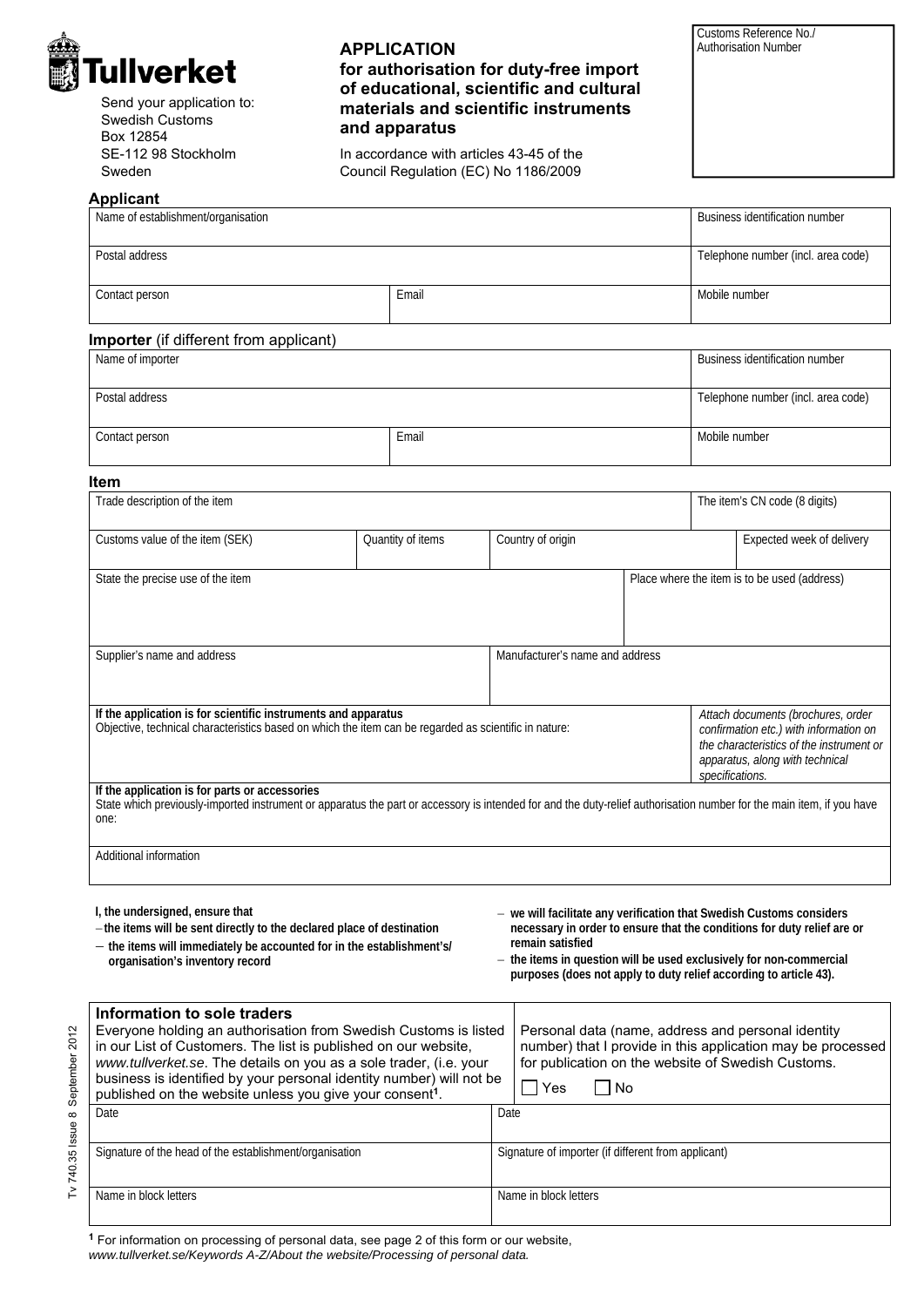

Send your application to: Swedish Customs Box 12854 SE-112 98 Stockholm Sweden

## **APPLICATION for authorisation for duty-free import of educational, scientific and cultural materials and scientific instruments and apparatus**

In accordance with articles 43-45 of the Council Regulation (EC) No 1186/2009

Customs Reference No./ Authorisation Number

| Applicant                                     |       |                                    |  |  |
|-----------------------------------------------|-------|------------------------------------|--|--|
| Name of establishment/organisation            |       | Business identification number     |  |  |
| Postal address                                |       | Telephone number (incl. area code) |  |  |
| Contact person                                | Email | Mobile number                      |  |  |
| <b>Importer</b> (if different from applicant) |       |                                    |  |  |

| Name of importer |       | Business identification number     |
|------------------|-------|------------------------------------|
| Postal address   |       | Telephone number (incl. area code) |
| Contact person   | Email | Mobile number                      |

#### **Item**

| Trade description of the item                                                                                                                                                                                                   |                   |                                                    |  | The item's CN code (8 digits)                                                                                                                                                                                                                                                               |  |
|---------------------------------------------------------------------------------------------------------------------------------------------------------------------------------------------------------------------------------|-------------------|----------------------------------------------------|--|---------------------------------------------------------------------------------------------------------------------------------------------------------------------------------------------------------------------------------------------------------------------------------------------|--|
| Customs value of the item (SEK)                                                                                                                                                                                                 | Quantity of items | Country of origin                                  |  | Expected week of delivery                                                                                                                                                                                                                                                                   |  |
| State the precise use of the item                                                                                                                                                                                               |                   |                                                    |  | Place where the item is to be used (address)                                                                                                                                                                                                                                                |  |
| Supplier's name and address                                                                                                                                                                                                     |                   | Manufacturer's name and address                    |  |                                                                                                                                                                                                                                                                                             |  |
| If the application is for scientific instruments and apparatus<br>Objective, technical characteristics based on which the item can be regarded as scientific in nature:                                                         |                   | apparatus, along with technical<br>specifications. |  | Attach documents (brochures, order<br>confirmation etc.) with information on<br>the characteristics of the instrument or                                                                                                                                                                    |  |
| If the application is for parts or accessories<br>State which previously-imported instrument or apparatus the part or accessory is intended for and the duty-relief authorisation number for the main item, if you have<br>one: |                   |                                                    |  |                                                                                                                                                                                                                                                                                             |  |
| Additional information                                                                                                                                                                                                          |                   |                                                    |  |                                                                                                                                                                                                                                                                                             |  |
| I, the undersigned, ensure that<br>-the items will be sent directly to the declared place of destination<br>- the items will immediately be accounted for in the establishment's/<br>organisation's inventory record            |                   | remain satisfied                                   |  | - we will facilitate any verification that Swedish Customs considers<br>necessary in order to ensure that the conditions for duty relief are or<br>- the items in question will be used exclusively for non-commercial<br>purposes (does not apply to duty relief according to article 43). |  |

| Information to sole traders<br>Everyone holding an authorisation from Swedish Customs is listed<br>in our List of Customers. The list is published on our website,<br>www.tullverket.se. The details on you as a sole trader, (i.e. your<br>business is identified by your personal identity number) will not be<br>published on the website unless you give your consent <sup>1</sup> . |                       |                                                     | Personal data (name, address and personal identity<br>number) that I provide in this application may be processed<br>for publication on the website of Swedish Customs.<br>. I Yes<br>l No |
|------------------------------------------------------------------------------------------------------------------------------------------------------------------------------------------------------------------------------------------------------------------------------------------------------------------------------------------------------------------------------------------|-----------------------|-----------------------------------------------------|--------------------------------------------------------------------------------------------------------------------------------------------------------------------------------------------|
|                                                                                                                                                                                                                                                                                                                                                                                          | <b>Date</b>           | Date                                                |                                                                                                                                                                                            |
| Signature of the head of the establishment/organisation                                                                                                                                                                                                                                                                                                                                  |                       | Signature of importer (if different from applicant) |                                                                                                                                                                                            |
|                                                                                                                                                                                                                                                                                                                                                                                          | Name in block letters |                                                     | Name in block letters                                                                                                                                                                      |

**<sup>1</sup>** For information on processing of personal data, see page 2 of this form or our website, *www.tullverket.se/Keywords A-Z/About the website/Processing of personal data.*